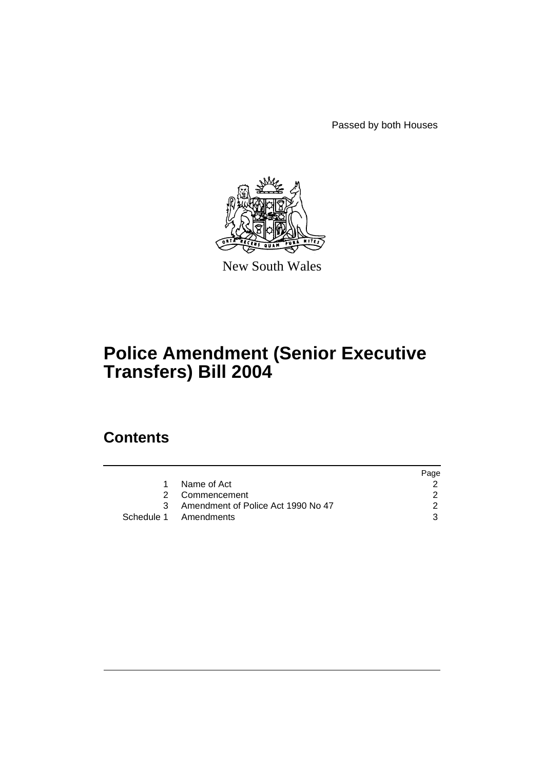Passed by both Houses



New South Wales

# **Police Amendment (Senior Executive Transfers) Bill 2004**

# **Contents**

|                                      | Page |
|--------------------------------------|------|
| Name of Act                          |      |
| 2 Commencement                       |      |
| 3 Amendment of Police Act 1990 No 47 |      |
| Schedule 1 Amendments                |      |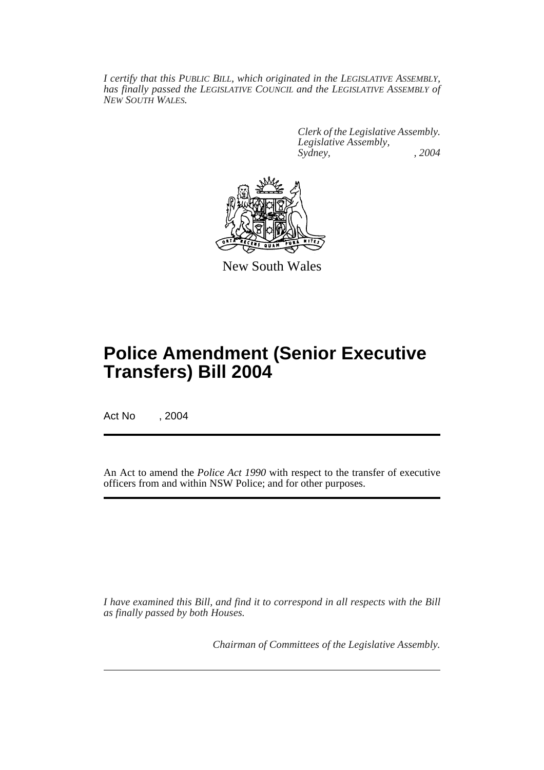*I certify that this PUBLIC BILL, which originated in the LEGISLATIVE ASSEMBLY, has finally passed the LEGISLATIVE COUNCIL and the LEGISLATIVE ASSEMBLY of NEW SOUTH WALES.*

> *Clerk of the Legislative Assembly. Legislative Assembly, Sydney, , 2004*



New South Wales

# **Police Amendment (Senior Executive Transfers) Bill 2004**

Act No , 2004

An Act to amend the *Police Act 1990* with respect to the transfer of executive officers from and within NSW Police; and for other purposes.

*I have examined this Bill, and find it to correspond in all respects with the Bill as finally passed by both Houses.*

*Chairman of Committees of the Legislative Assembly.*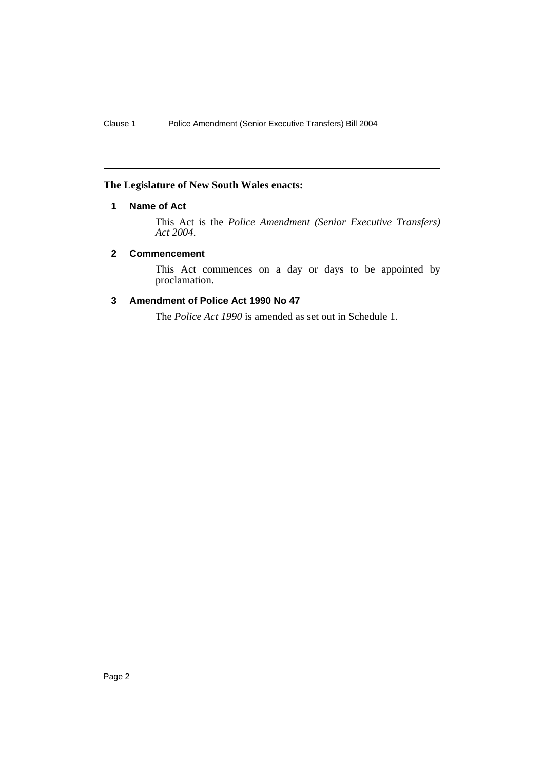### **The Legislature of New South Wales enacts:**

## **1 Name of Act**

This Act is the *Police Amendment (Senior Executive Transfers) Act 2004*.

### **2 Commencement**

This Act commences on a day or days to be appointed by proclamation.

## **3 Amendment of Police Act 1990 No 47**

The *Police Act 1990* is amended as set out in Schedule 1.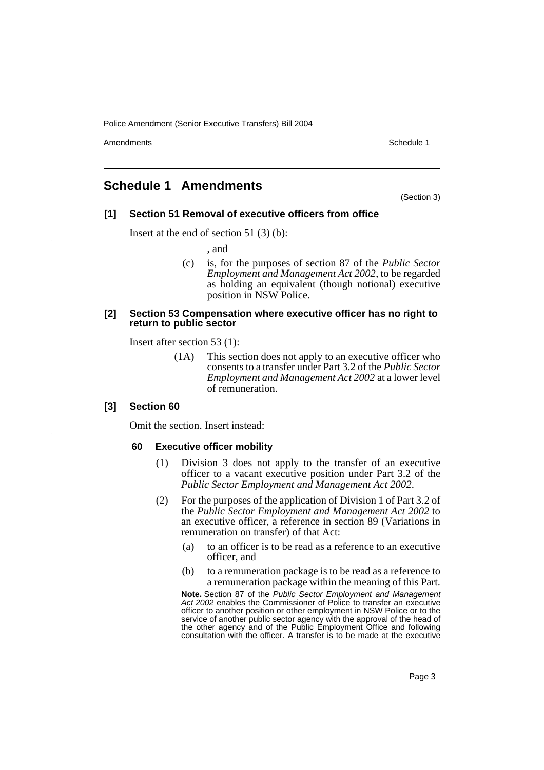Police Amendment (Senior Executive Transfers) Bill 2004

Amendments **Amendments** Schedule 1

# **Schedule 1 Amendments**

(Section 3)

### **[1] Section 51 Removal of executive officers from office**

Insert at the end of section 51 (3) (b):

, and

(c) is, for the purposes of section 87 of the *Public Sector Employment and Management Act 2002*, to be regarded as holding an equivalent (though notional) executive position in NSW Police.

#### **[2] Section 53 Compensation where executive officer has no right to return to public sector**

Insert after section 53 (1):

(1A) This section does not apply to an executive officer who consents to a transfer under Part 3.2 of the *Public Sector Employment and Management Act 2002* at a lower level of remuneration.

#### **[3] Section 60**

Omit the section. Insert instead:

#### **60 Executive officer mobility**

- (1) Division 3 does not apply to the transfer of an executive officer to a vacant executive position under Part 3.2 of the *Public Sector Employment and Management Act 2002*.
- (2) For the purposes of the application of Division 1 of Part 3.2 of the *Public Sector Employment and Management Act 2002* to an executive officer, a reference in section 89 (Variations in remuneration on transfer) of that Act:
	- (a) to an officer is to be read as a reference to an executive officer, and
	- (b) to a remuneration package is to be read as a reference to a remuneration package within the meaning of this Part.

**Note.** Section 87 of the *Public Sector Employment and Management Act 2002* enables the Commissioner of Police to transfer an executive officer to another position or other employment in NSW Police or to the service of another public sector agency with the approval of the head of the other agency and of the Public Employment Office and following consultation with the officer. A transfer is to be made at the executive